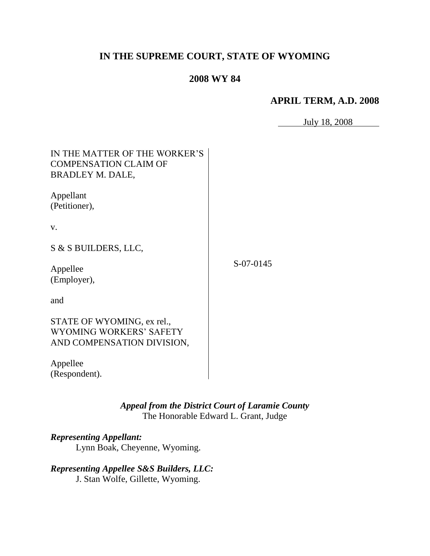## **IN THE SUPREME COURT, STATE OF WYOMING**

## **2008 WY 84**

#### **APRIL TERM, A.D. 2008**

July 18, 2008

| IN THE MATTER OF THE WORKER'S<br><b>COMPENSATION CLAIM OF</b><br>BRADLEY M. DALE,   |           |
|-------------------------------------------------------------------------------------|-----------|
| Appellant<br>(Petitioner),                                                          |           |
| V.                                                                                  |           |
| S & S BUILDERS, LLC,                                                                |           |
| Appellee<br>(Employer),                                                             | S-07-0145 |
| and                                                                                 |           |
| STATE OF WYOMING, ex rel.,<br>WYOMING WORKERS' SAFETY<br>AND COMPENSATION DIVISION, |           |
| Appellee<br>(Respondent).                                                           |           |

*Appeal from the District Court of Laramie County* The Honorable Edward L. Grant, Judge

## *Representing Appellant:*

Lynn Boak, Cheyenne, Wyoming.

# *Representing Appellee S&S Builders, LLC:*

J. Stan Wolfe, Gillette, Wyoming.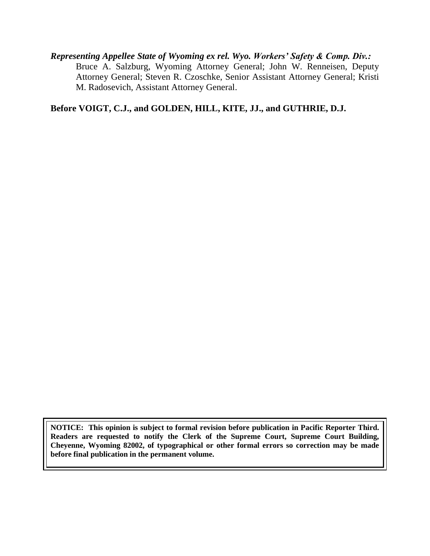*Representing Appellee State of Wyoming ex rel. Wyo. Workers' Safety & Comp. Div.:* Bruce A. Salzburg, Wyoming Attorney General; John W. Renneisen, Deputy Attorney General; Steven R. Czoschke, Senior Assistant Attorney General; Kristi M. Radosevich, Assistant Attorney General.

**Before VOIGT, C.J., and GOLDEN, HILL, KITE, JJ., and GUTHRIE, D.J.**

**NOTICE: This opinion is subject to formal revision before publication in Pacific Reporter Third. Readers are requested to notify the Clerk of the Supreme Court, Supreme Court Building, Cheyenne, Wyoming 82002, of typographical or other formal errors so correction may be made before final publication in the permanent volume.**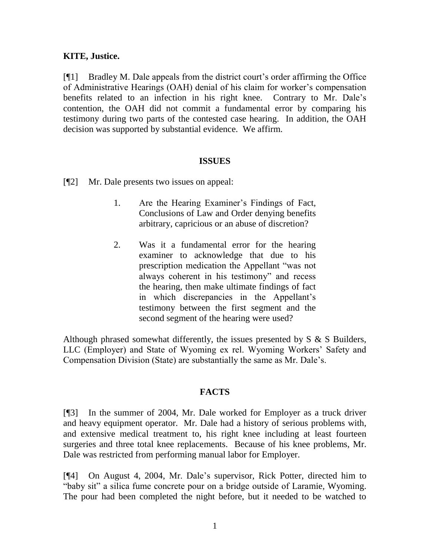#### **KITE, Justice.**

[¶1] Bradley M. Dale appeals from the district court"s order affirming the Office of Administrative Hearings (OAH) denial of his claim for worker"s compensation benefits related to an infection in his right knee. Contrary to Mr. Dale"s contention, the OAH did not commit a fundamental error by comparing his testimony during two parts of the contested case hearing. In addition, the OAH decision was supported by substantial evidence. We affirm.

#### **ISSUES**

[¶2] Mr. Dale presents two issues on appeal:

- 1. Are the Hearing Examiner"s Findings of Fact, Conclusions of Law and Order denying benefits arbitrary, capricious or an abuse of discretion?
- 2. Was it a fundamental error for the hearing examiner to acknowledge that due to his prescription medication the Appellant "was not always coherent in his testimony" and recess the hearing, then make ultimate findings of fact in which discrepancies in the Appellant's testimony between the first segment and the second segment of the hearing were used?

Although phrased somewhat differently, the issues presented by S & S Builders, LLC (Employer) and State of Wyoming ex rel. Wyoming Workers" Safety and Compensation Division (State) are substantially the same as Mr. Dale"s.

#### **FACTS**

[¶3] In the summer of 2004, Mr. Dale worked for Employer as a truck driver and heavy equipment operator. Mr. Dale had a history of serious problems with, and extensive medical treatment to, his right knee including at least fourteen surgeries and three total knee replacements. Because of his knee problems, Mr. Dale was restricted from performing manual labor for Employer.

[¶4] On August 4, 2004, Mr. Dale"s supervisor, Rick Potter, directed him to "baby sit" a silica fume concrete pour on a bridge outside of Laramie, Wyoming. The pour had been completed the night before, but it needed to be watched to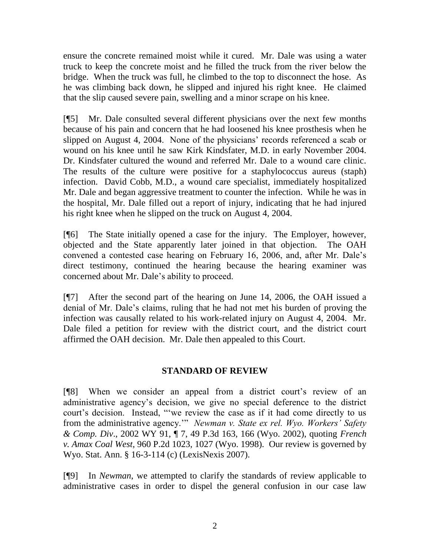ensure the concrete remained moist while it cured. Mr. Dale was using a water truck to keep the concrete moist and he filled the truck from the river below the bridge. When the truck was full, he climbed to the top to disconnect the hose. As he was climbing back down, he slipped and injured his right knee. He claimed that the slip caused severe pain, swelling and a minor scrape on his knee.

[¶5] Mr. Dale consulted several different physicians over the next few months because of his pain and concern that he had loosened his knee prosthesis when he slipped on August 4, 2004. None of the physicians' records referenced a scab or wound on his knee until he saw Kirk Kindsfater, M.D. in early November 2004. Dr. Kindsfater cultured the wound and referred Mr. Dale to a wound care clinic. The results of the culture were positive for a staphylococcus aureus (staph) infection. David Cobb, M.D., a wound care specialist, immediately hospitalized Mr. Dale and began aggressive treatment to counter the infection. While he was in the hospital, Mr. Dale filled out a report of injury, indicating that he had injured his right knee when he slipped on the truck on August 4, 2004.

[¶6] The State initially opened a case for the injury. The Employer, however, objected and the State apparently later joined in that objection. The OAH convened a contested case hearing on February 16, 2006, and, after Mr. Dale"s direct testimony, continued the hearing because the hearing examiner was concerned about Mr. Dale"s ability to proceed.

[¶7] After the second part of the hearing on June 14, 2006, the OAH issued a denial of Mr. Dale"s claims, ruling that he had not met his burden of proving the infection was causally related to his work-related injury on August 4, 2004. Mr. Dale filed a petition for review with the district court, and the district court affirmed the OAH decision. Mr. Dale then appealed to this Court.

#### **STANDARD OF REVIEW**

[¶8] When we consider an appeal from a district court"s review of an administrative agency"s decision, we give no special deference to the district court's decision. Instead, ""we review the case as if it had come directly to us from the administrative agency."" *Newman v. State ex rel. Wyo. Workers' Safety & Comp. Div*., 2002 WY 91, ¶ 7, 49 P.3d 163, 166 (Wyo. 2002), quoting *French v. Amax Coal West*, 960 P.2d 1023, 1027 (Wyo. 1998). Our review is governed by Wyo. Stat. Ann. § 16-3-114 (c) (LexisNexis 2007).

[¶9] In *Newman*, we attempted to clarify the standards of review applicable to administrative cases in order to dispel the general confusion in our case law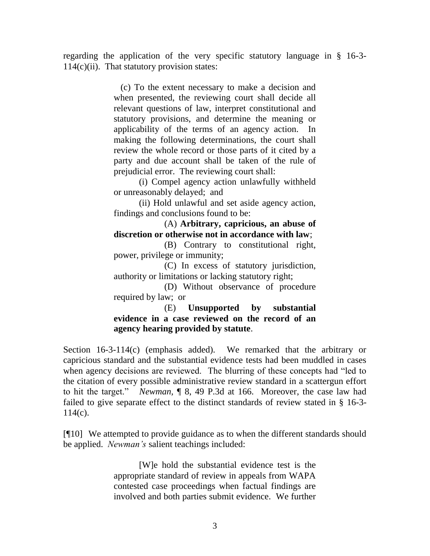regarding the application of the very specific statutory language in § 16-3-  $114(c)(ii)$ . That statutory provision states:

> (c) To the extent necessary to make a decision and when presented, the reviewing court shall decide all relevant questions of law, interpret constitutional and statutory provisions, and determine the meaning or applicability of the terms of an agency action. In making the following determinations, the court shall review the whole record or those parts of it cited by a party and due account shall be taken of the rule of prejudicial error. The reviewing court shall:

> (i) Compel agency action unlawfully withheld or unreasonably delayed; and

> (ii) Hold unlawful and set aside agency action, findings and conclusions found to be:

> (A) **Arbitrary, capricious, an abuse of discretion or otherwise not in accordance with law**;

> (B) Contrary to constitutional right, power, privilege or immunity;

> (C) In excess of statutory jurisdiction, authority or limitations or lacking statutory right;

> (D) Without observance of procedure required by law; or

> (E) **Unsupported by substantial evidence in a case reviewed on the record of an agency hearing provided by statute**.

Section 16-3-114(c) (emphasis added). We remarked that the arbitrary or capricious standard and the substantial evidence tests had been muddled in cases when agency decisions are reviewed. The blurring of these concepts had "led to the citation of every possible administrative review standard in a scattergun effort to hit the target." *Newman,* ¶ 8, 49 P.3d at 166. Moreover, the case law had failed to give separate effect to the distinct standards of review stated in § 16-3- 114(c).

[¶10] We attempted to provide guidance as to when the different standards should be applied. *Newman's* salient teachings included:

> [W]e hold the substantial evidence test is the appropriate standard of review in appeals from WAPA contested case proceedings when factual findings are involved and both parties submit evidence. We further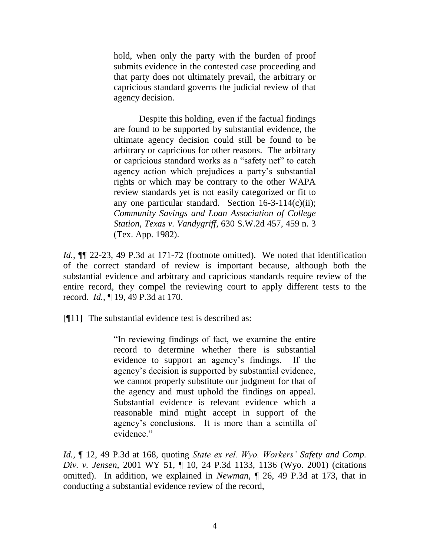hold, when only the party with the burden of proof submits evidence in the contested case proceeding and that party does not ultimately prevail, the arbitrary or capricious standard governs the judicial review of that agency decision.

Despite this holding, even if the factual findings are found to be supported by substantial evidence, the ultimate agency decision could still be found to be arbitrary or capricious for other reasons. The arbitrary or capricious standard works as a "safety net" to catch agency action which prejudices a party's substantial rights or which may be contrary to the other WAPA review standards yet is not easily categorized or fit to any one particular standard. Section  $16-3-114(c)(ii)$ ; *Community Savings and Loan Association of College Station, Texas v. Vandygriff*, 630 S.W.2d 457, 459 n. 3 (Tex. App. 1982).

*Id.,* ¶¶ 22-23, 49 P.3d at 171-72 (footnote omitted). We noted that identification of the correct standard of review is important because, although both the substantial evidence and arbitrary and capricious standards require review of the entire record, they compel the reviewing court to apply different tests to the record. *Id.,* ¶ 19, 49 P.3d at 170.

[¶11] The substantial evidence test is described as:

"In reviewing findings of fact, we examine the entire record to determine whether there is substantial evidence to support an agency"s findings. If the agency"s decision is supported by substantial evidence, we cannot properly substitute our judgment for that of the agency and must uphold the findings on appeal. Substantial evidence is relevant evidence which a reasonable mind might accept in support of the agency"s conclusions. It is more than a scintilla of evidence."

*Id.,* ¶ 12, 49 P.3d at 168, quoting *State ex rel. Wyo. Workers' Safety and Comp. Div. v. Jensen*, 2001 WY 51, ¶ 10, 24 P.3d 1133, 1136 (Wyo. 2001) (citations omitted). In addition, we explained in *Newman*, ¶ 26, 49 P.3d at 173, that in conducting a substantial evidence review of the record,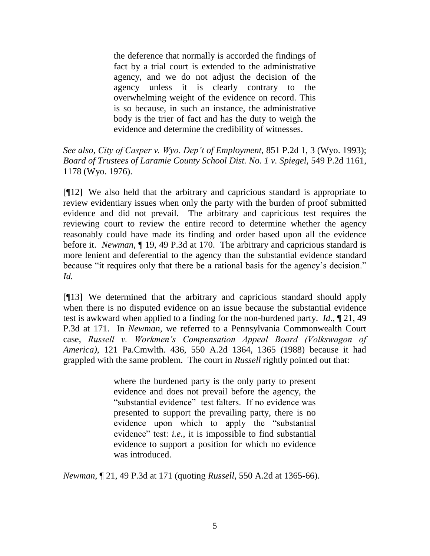the deference that normally is accorded the findings of fact by a trial court is extended to the administrative agency, and we do not adjust the decision of the agency unless it is clearly contrary to the overwhelming weight of the evidence on record. This is so because, in such an instance, the administrative body is the trier of fact and has the duty to weigh the evidence and determine the credibility of witnesses.

*See also*, *City of Casper v. Wyo. Dep't of Employment,* 851 P.2d 1, 3 (Wyo. 1993); *Board of Trustees of Laramie County School Dist. No. 1 v. Spiegel,* 549 P.2d 1161, 1178 (Wyo. 1976).

[¶12] We also held that the arbitrary and capricious standard is appropriate to review evidentiary issues when only the party with the burden of proof submitted evidence and did not prevail. The arbitrary and capricious test requires the reviewing court to review the entire record to determine whether the agency reasonably could have made its finding and order based upon all the evidence before it. *Newman,* ¶ 19, 49 P.3d at 170. The arbitrary and capricious standard is more lenient and deferential to the agency than the substantial evidence standard because "it requires only that there be a rational basis for the agency"s decision." *Id.* 

[¶13] We determined that the arbitrary and capricious standard should apply when there is no disputed evidence on an issue because the substantial evidence test is awkward when applied to a finding for the non-burdened party. *Id*., ¶ 21, 49 P.3d at 171. In *Newman,* we referred to a Pennsylvania Commonwealth Court case, *Russell v. Workmen's Compensation Appeal Board (Volkswagon of America)*, 121 Pa.Cmwlth. 436, 550 A.2d 1364, 1365 (1988) because it had grappled with the same problem. The court in *Russell* rightly pointed out that:

> where the burdened party is the only party to present evidence and does not prevail before the agency, the "substantial evidence" test falters. If no evidence was presented to support the prevailing party, there is no evidence upon which to apply the "substantial evidence" test: *i.e.*, it is impossible to find substantial evidence to support a position for which no evidence was introduced.

*Newman*, ¶ 21, 49 P.3d at 171 (quoting *Russell*, 550 A.2d at 1365-66).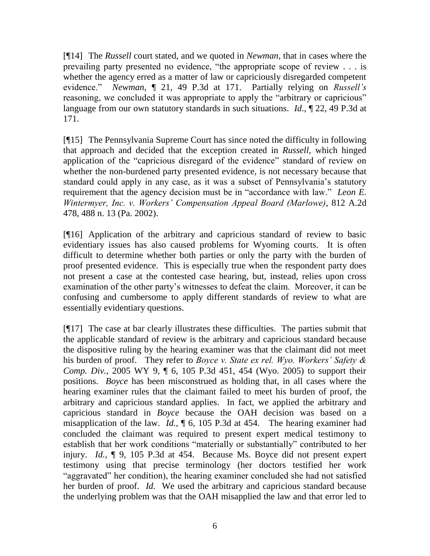[¶14] The *Russell* court stated, and we quoted in *Newman*, that in cases where the prevailing party presented no evidence, "the appropriate scope of review . . . is whether the agency erred as a matter of law or capriciously disregarded competent evidence." *Newman*, ¶ 21, 49 P.3d at 171. Partially relying on *Russell's*  reasoning, we concluded it was appropriate to apply the "arbitrary or capricious" language from our own statutory standards in such situations. *Id*., ¶ 22, 49 P.3d at 171.

[¶15] The Pennsylvania Supreme Court has since noted the difficulty in following that approach and decided that the exception created in *Russell*, which hinged application of the "capricious disregard of the evidence" standard of review on whether the non-burdened party presented evidence, is not necessary because that standard could apply in any case, as it was a subset of Pennsylvania"s statutory requirement that the agency decision must be in "accordance with law." *Leon E. Wintermyer, Inc. v. Workers' Compensation Appeal Board (Marlowe)*, 812 A.2d 478, 488 n. 13 (Pa. 2002).

[¶16] Application of the arbitrary and capricious standard of review to basic evidentiary issues has also caused problems for Wyoming courts. It is often difficult to determine whether both parties or only the party with the burden of proof presented evidence. This is especially true when the respondent party does not present a case at the contested case hearing, but, instead, relies upon cross examination of the other party"s witnesses to defeat the claim. Moreover, it can be confusing and cumbersome to apply different standards of review to what are essentially evidentiary questions.

[¶17] The case at bar clearly illustrates these difficulties. The parties submit that the applicable standard of review is the arbitrary and capricious standard because the dispositive ruling by the hearing examiner was that the claimant did not meet his burden of proof. They refer to *Boyce v. State ex rel. Wyo. Workers' Safety & Comp. Div.*, 2005 WY 9, ¶ 6, 105 P.3d 451, 454 (Wyo. 2005) to support their positions. *Boyce* has been misconstrued as holding that, in all cases where the hearing examiner rules that the claimant failed to meet his burden of proof, the arbitrary and capricious standard applies. In fact, we applied the arbitrary and capricious standard in *Boyce* because the OAH decision was based on a misapplication of the law. *Id.,* ¶ 6, 105 P.3d at 454. The hearing examiner had concluded the claimant was required to present expert medical testimony to establish that her work conditions "materially or substantially" contributed to her injury. *Id.,* ¶ 9, 105 P.3d at 454. Because Ms. Boyce did not present expert testimony using that precise terminology (her doctors testified her work "aggravated" her condition), the hearing examiner concluded she had not satisfied her burden of proof. *Id.* We used the arbitrary and capricious standard because the underlying problem was that the OAH misapplied the law and that error led to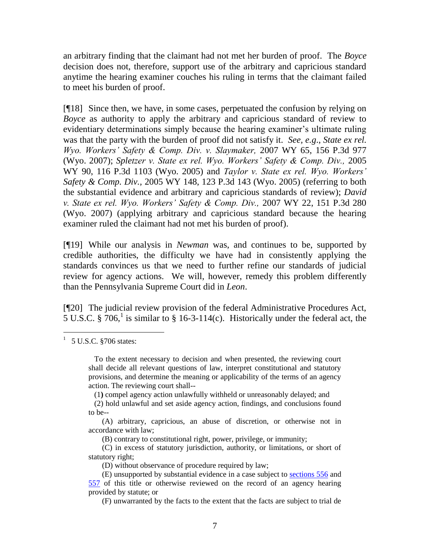an arbitrary finding that the claimant had not met her burden of proof. The *Boyce*  decision does not, therefore, support use of the arbitrary and capricious standard anytime the hearing examiner couches his ruling in terms that the claimant failed to meet his burden of proof.

[¶18] Since then, we have, in some cases, perpetuated the confusion by relying on *Boyce* as authority to apply the arbitrary and capricious standard of review to evidentiary determinations simply because the hearing examiner"s ultimate ruling was that the party with the burden of proof did not satisfy it. *See, e.g*., *State ex rel. Wyo. Workers' Safety & Comp. Div. v. Slaymaker,* 2007 WY 65, 156 P.3d 977 (Wyo. 2007); *Spletzer v. State ex rel. Wyo. Workers' Safety & Comp. Div.,* 2005 WY 90, 116 P.3d 1103 (Wyo. 2005) and *Taylor v. State ex rel. Wyo. Workers' Safety & Comp. Div.,* 2005 WY 148, 123 P.3d 143 (Wyo. 2005) (referring to both the substantial evidence and arbitrary and capricious standards of review); *David v. State ex rel. Wyo. Workers' Safety & Comp. Div.,* 2007 WY 22, 151 P.3d 280 (Wyo. 2007) (applying arbitrary and capricious standard because the hearing examiner ruled the claimant had not met his burden of proof).

[¶19] While our analysis in *Newman* was, and continues to be, supported by credible authorities, the difficulty we have had in consistently applying the standards convinces us that we need to further refine our standards of judicial review for agency actions. We will, however, remedy this problem differently than the Pennsylvania Supreme Court did in *Leon*.

[¶20] The judicial review provision of the federal Administrative Procedures Act,  $5 \text{ U.S.C.}$  § 706,<sup>1</sup> is similar to § 16-3-114(c). Historically under the federal act, the

(1**)** compel agency action unlawfully withheld or unreasonably delayed; and

 $1\quad 5$  U.S.C.  $\S 706$  states:

To the extent necessary to decision and when presented, the reviewing court shall decide all relevant questions of law, interpret constitutional and statutory provisions, and determine the meaning or applicability of the terms of an agency action. The reviewing court shall--

(2) hold unlawful and set aside agency action, findings, and conclusions found to be--

 <sup>(</sup>A) arbitrary, capricious, an abuse of discretion, or otherwise not in accordance with law;

(B) contrary to constitutional right, power, privilege, or immunity;

 <sup>(</sup>C) in excess of statutory jurisdiction, authority, or limitations, or short of statutory right;

(D) without observance of procedure required by law;

(E) unsupported by substantial evidence in a case subject to [sections 556](http://www.westlaw.com/Find/Default.wl?rs=dfa1.0&vr=2.0&DB=1000546&DocName=5USCAS556&FindType=Y) and [557](http://www.westlaw.com/Find/Default.wl?rs=dfa1.0&vr=2.0&DB=1000546&DocName=5USCAS557&FindType=Y) of this title or otherwise reviewed on the record of an agency hearing provided by statute; or

(F) unwarranted by the facts to the extent that the facts are subject to trial de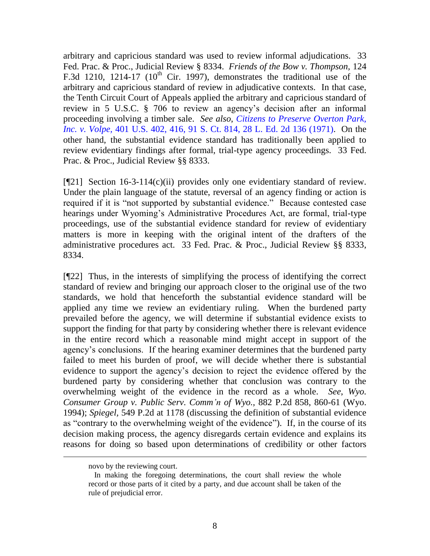arbitrary and capricious standard was used to review informal adjudications. 33 Fed. Prac. & Proc., Judicial Review § 8334. *Friends of the Bow v. Thompson,* 124 F.3d 1210, 1214-17 ( $10<sup>th</sup>$  Cir. 1997), demonstrates the traditional use of the arbitrary and capricious standard of review in adjudicative contexts. In that case, the Tenth Circuit Court of Appeals applied the arbitrary and capricious standard of review in 5 U.S.C. § 706 to review an agency"s decision after an informal proceeding involving a timber sale. *See also*, *Citizens to Preserve Overton Park, Inc. v. Volpe,* [401 U.S. 402, 416, 91 S.](http://www.westlaw.com/Find/Default.wl?rs=dfa1.0&vr=2.0&DB=708&FindType=Y&ReferencePositionType=S&SerialNum=1971127022&ReferencePosition=823) Ct. 814, 28 L. Ed. 2d 136 (1971). On the other hand, the substantial evidence standard has traditionally been applied to review evidentiary findings after formal, trial-type agency proceedings. 33 Fed. Prac. & Proc., Judicial Review §§ 8333.

[¶21] Section 16-3-114(c)(ii) provides only one evidentiary standard of review. Under the plain language of the statute, reversal of an agency finding or action is required if it is "not supported by substantial evidence." Because contested case hearings under Wyoming's Administrative Procedures Act, are formal, trial-type proceedings, use of the substantial evidence standard for review of evidentiary matters is more in keeping with the original intent of the drafters of the administrative procedures act. 33 Fed. Prac. & Proc., Judicial Review §§ 8333, 8334.

[¶22] Thus, in the interests of simplifying the process of identifying the correct standard of review and bringing our approach closer to the original use of the two standards, we hold that henceforth the substantial evidence standard will be applied any time we review an evidentiary ruling. When the burdened party prevailed before the agency, we will determine if substantial evidence exists to support the finding for that party by considering whether there is relevant evidence in the entire record which a reasonable mind might accept in support of the agency"s conclusions. If the hearing examiner determines that the burdened party failed to meet his burden of proof, we will decide whether there is substantial evidence to support the agency"s decision to reject the evidence offered by the burdened party by considering whether that conclusion was contrary to the overwhelming weight of the evidence in the record as a whole. *See*, *Wyo. Consumer Group v. Public Serv. Comm'n of Wyo.,* 882 P.2d 858, 860-61 (Wyo. 1994); *Spiegel,* 549 P.2d at 1178 (discussing the definition of substantial evidence as "contrary to the overwhelming weight of the evidence"). If, in the course of its decision making process, the agency disregards certain evidence and explains its reasons for doing so based upon determinations of credibility or other factors

novo by the reviewing court.

 $\overline{a}$ 

In making the foregoing determinations, the court shall review the whole record or those parts of it cited by a party, and due account shall be taken of the rule of prejudicial error.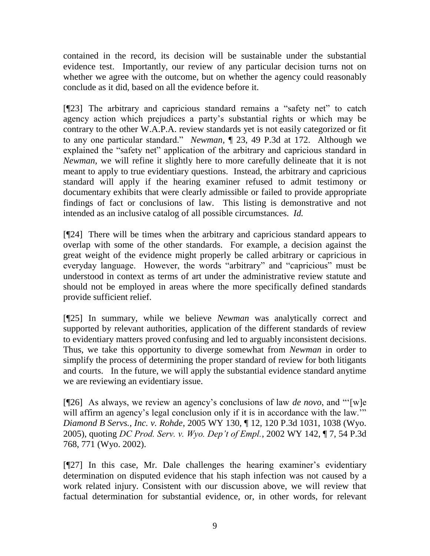contained in the record, its decision will be sustainable under the substantial evidence test. Importantly, our review of any particular decision turns not on whether we agree with the outcome, but on whether the agency could reasonably conclude as it did, based on all the evidence before it.

[¶23] The arbitrary and capricious standard remains a "safety net" to catch agency action which prejudices a party"s substantial rights or which may be contrary to the other W.A.P.A. review standards yet is not easily categorized or fit to any one particular standard." *Newman,* ¶ 23, 49 P.3d at 172. Although we explained the "safety net" application of the arbitrary and capricious standard in *Newman,* we will refine it slightly here to more carefully delineate that it is not meant to apply to true evidentiary questions. Instead, the arbitrary and capricious standard will apply if the hearing examiner refused to admit testimony or documentary exhibits that were clearly admissible or failed to provide appropriate findings of fact or conclusions of law. This listing is demonstrative and not intended as an inclusive catalog of all possible circumstances. *Id.* 

[¶24] There will be times when the arbitrary and capricious standard appears to overlap with some of the other standards. For example, a decision against the great weight of the evidence might properly be called arbitrary or capricious in everyday language. However, the words "arbitrary" and "capricious" must be understood in context as terms of art under the administrative review statute and should not be employed in areas where the more specifically defined standards provide sufficient relief.

[¶25] In summary, while we believe *Newman* was analytically correct and supported by relevant authorities, application of the different standards of review to evidentiary matters proved confusing and led to arguably inconsistent decisions. Thus, we take this opportunity to diverge somewhat from *Newman* in order to simplify the process of determining the proper standard of review for both litigants and courts. In the future, we will apply the substantial evidence standard anytime we are reviewing an evidentiary issue.

[¶26] As always, we review an agency"s conclusions of law *de novo*, and ""[w]e will affirm an agency's legal conclusion only if it is in accordance with the law." *Diamond B Servs., Inc. v. Rohde*, 2005 WY 130, ¶ 12, 120 P.3d 1031, 1038 (Wyo. 2005), quoting *DC Prod. Serv. v. Wyo. Dep't of Empl.*, 2002 WY 142, ¶ 7, 54 P.3d 768, 771 (Wyo. 2002).

[¶27] In this case, Mr. Dale challenges the hearing examiner's evidentiary determination on disputed evidence that his staph infection was not caused by a work related injury. Consistent with our discussion above, we will review that factual determination for substantial evidence, or, in other words, for relevant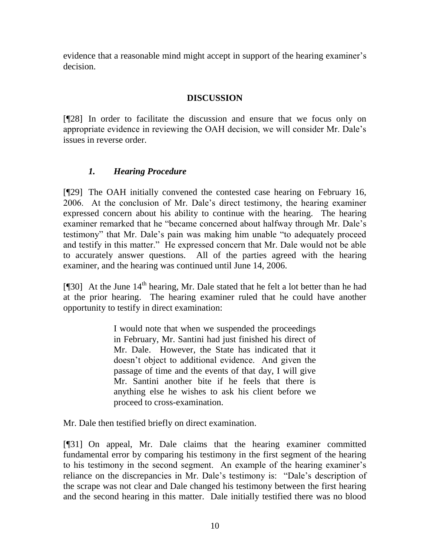evidence that a reasonable mind might accept in support of the hearing examiner's decision.

## **DISCUSSION**

[¶28] In order to facilitate the discussion and ensure that we focus only on appropriate evidence in reviewing the OAH decision, we will consider Mr. Dale"s issues in reverse order.

## *1. Hearing Procedure*

[¶29] The OAH initially convened the contested case hearing on February 16, 2006. At the conclusion of Mr. Dale"s direct testimony, the hearing examiner expressed concern about his ability to continue with the hearing. The hearing examiner remarked that he "became concerned about halfway through Mr. Dale"s testimony" that Mr. Dale"s pain was making him unable "to adequately proceed and testify in this matter." He expressed concern that Mr. Dale would not be able to accurately answer questions. All of the parties agreed with the hearing examiner, and the hearing was continued until June 14, 2006.

[ $[$ ]30] At the June 14<sup>th</sup> hearing, Mr. Dale stated that he felt a lot better than he had at the prior hearing. The hearing examiner ruled that he could have another opportunity to testify in direct examination:

> I would note that when we suspended the proceedings in February, Mr. Santini had just finished his direct of Mr. Dale. However, the State has indicated that it doesn"t object to additional evidence. And given the passage of time and the events of that day, I will give Mr. Santini another bite if he feels that there is anything else he wishes to ask his client before we proceed to cross-examination.

Mr. Dale then testified briefly on direct examination.

[¶31] On appeal, Mr. Dale claims that the hearing examiner committed fundamental error by comparing his testimony in the first segment of the hearing to his testimony in the second segment. An example of the hearing examiner's reliance on the discrepancies in Mr. Dale"s testimony is: "Dale"s description of the scrape was not clear and Dale changed his testimony between the first hearing and the second hearing in this matter. Dale initially testified there was no blood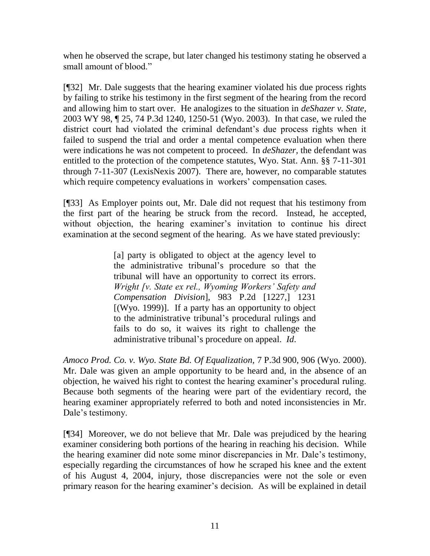when he observed the scrape, but later changed his testimony stating he observed a small amount of blood."

[¶32] Mr. Dale suggests that the hearing examiner violated his due process rights by failing to strike his testimony in the first segment of the hearing from the record and allowing him to start over. He analogizes to the situation in *deShazer v. State,*  2003 WY 98, ¶ 25, 74 P.3d 1240, 1250-51 (Wyo. 2003). In that case, we ruled the district court had violated the criminal defendant's due process rights when it failed to suspend the trial and order a mental competence evaluation when there were indications he was not competent to proceed. In *deShazer,* the defendant was entitled to the protection of the competence statutes, Wyo. Stat. Ann. §§ 7-11-301 through 7-11-307 (LexisNexis 2007). There are, however, no comparable statutes which require competency evaluations in workers' compensation cases.

[¶33] As Employer points out, Mr. Dale did not request that his testimony from the first part of the hearing be struck from the record. Instead, he accepted, without objection, the hearing examiner's invitation to continue his direct examination at the second segment of the hearing. As we have stated previously:

> [a] party is obligated to object at the agency level to the administrative tribunal"s procedure so that the tribunal will have an opportunity to correct its errors. *Wright [v. State ex rel., Wyoming Workers' Safety and Compensation Division*], 983 P.2d [1227,] 1231 [(Wyo. 1999)]. If a party has an opportunity to object to the administrative tribunal"s procedural rulings and fails to do so, it waives its right to challenge the administrative tribunal"s procedure on appeal. *Id*.

*Amoco Prod. Co. v. Wyo. State Bd. Of Equalization,* 7 P.3d 900, 906 (Wyo. 2000). Mr. Dale was given an ample opportunity to be heard and, in the absence of an objection, he waived his right to contest the hearing examiner"s procedural ruling. Because both segments of the hearing were part of the evidentiary record, the hearing examiner appropriately referred to both and noted inconsistencies in Mr. Dale's testimony.

[¶34] Moreover, we do not believe that Mr. Dale was prejudiced by the hearing examiner considering both portions of the hearing in reaching his decision. While the hearing examiner did note some minor discrepancies in Mr. Dale"s testimony, especially regarding the circumstances of how he scraped his knee and the extent of his August 4, 2004, injury, those discrepancies were not the sole or even primary reason for the hearing examiner"s decision. As will be explained in detail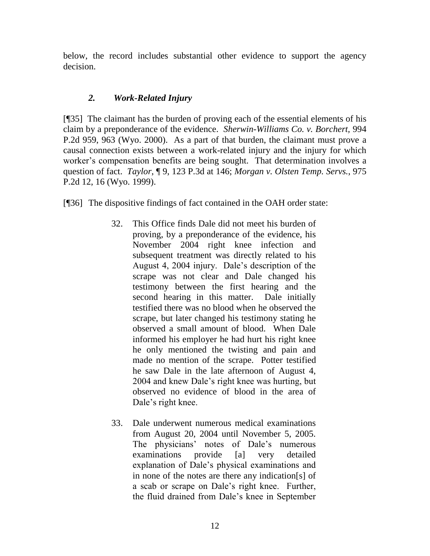below, the record includes substantial other evidence to support the agency decision.

## *2. Work-Related Injury*

[¶35] The claimant has the burden of proving each of the essential elements of his claim by a preponderance of the evidence. *Sherwin-Williams Co. v. Borchert,* 994 P.2d 959, 963 (Wyo. 2000). As a part of that burden, the claimant must prove a causal connection exists between a work-related injury and the injury for which worker's compensation benefits are being sought. That determination involves a question of fact. *Taylor*, ¶ 9, 123 P.3d at 146; *Morgan v. Olsten Temp. Servs.*, 975 P.2d 12, 16 (Wyo. 1999).

[¶36] The dispositive findings of fact contained in the OAH order state:

- 32. This Office finds Dale did not meet his burden of proving, by a preponderance of the evidence, his November 2004 right knee infection and subsequent treatment was directly related to his August 4, 2004 injury. Dale"s description of the scrape was not clear and Dale changed his testimony between the first hearing and the second hearing in this matter. Dale initially testified there was no blood when he observed the scrape, but later changed his testimony stating he observed a small amount of blood. When Dale informed his employer he had hurt his right knee he only mentioned the twisting and pain and made no mention of the scrape. Potter testified he saw Dale in the late afternoon of August 4, 2004 and knew Dale"s right knee was hurting, but observed no evidence of blood in the area of Dale's right knee.
- 33. Dale underwent numerous medical examinations from August 20, 2004 until November 5, 2005. The physicians' notes of Dale's numerous examinations provide [a] very detailed explanation of Dale"s physical examinations and in none of the notes are there any indication[s] of a scab or scrape on Dale"s right knee. Further, the fluid drained from Dale"s knee in September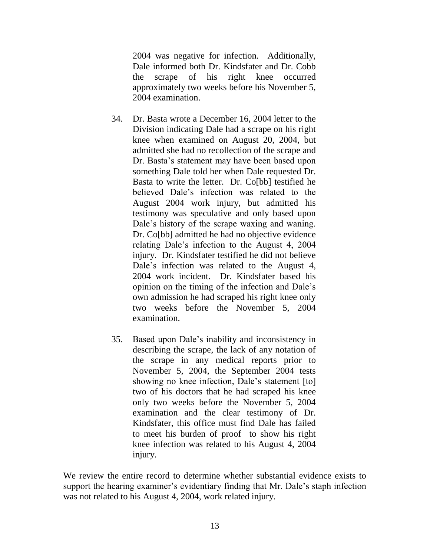2004 was negative for infection. Additionally, Dale informed both Dr. Kindsfater and Dr. Cobb the scrape of his right knee occurred approximately two weeks before his November 5, 2004 examination.

- 34. Dr. Basta wrote a December 16, 2004 letter to the Division indicating Dale had a scrape on his right knee when examined on August 20, 2004, but admitted she had no recollection of the scrape and Dr. Basta"s statement may have been based upon something Dale told her when Dale requested Dr. Basta to write the letter. Dr. Co[bb] testified he believed Dale"s infection was related to the August 2004 work injury, but admitted his testimony was speculative and only based upon Dale's history of the scrape waxing and waning. Dr. Co[bb] admitted he had no objective evidence relating Dale"s infection to the August 4, 2004 injury. Dr. Kindsfater testified he did not believe Dale's infection was related to the August 4, 2004 work incident. Dr. Kindsfater based his opinion on the timing of the infection and Dale"s own admission he had scraped his right knee only two weeks before the November 5, 2004 examination.
- 35. Based upon Dale"s inability and inconsistency in describing the scrape, the lack of any notation of the scrape in any medical reports prior to November 5, 2004, the September 2004 tests showing no knee infection, Dale's statement [to] two of his doctors that he had scraped his knee only two weeks before the November 5, 2004 examination and the clear testimony of Dr. Kindsfater, this office must find Dale has failed to meet his burden of proof to show his right knee infection was related to his August 4, 2004 injury.

We review the entire record to determine whether substantial evidence exists to support the hearing examiner's evidentiary finding that Mr. Dale's staph infection was not related to his August 4, 2004, work related injury.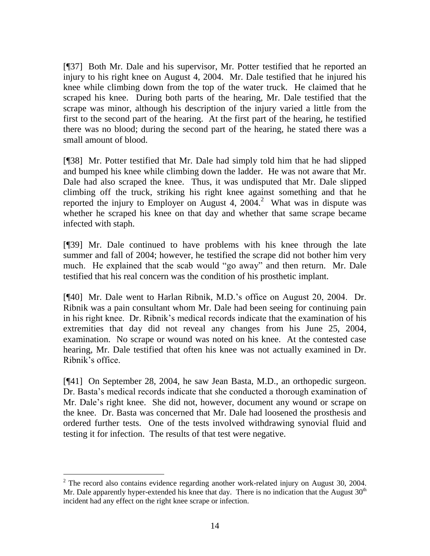[¶37] Both Mr. Dale and his supervisor, Mr. Potter testified that he reported an injury to his right knee on August 4, 2004. Mr. Dale testified that he injured his knee while climbing down from the top of the water truck. He claimed that he scraped his knee. During both parts of the hearing, Mr. Dale testified that the scrape was minor, although his description of the injury varied a little from the first to the second part of the hearing. At the first part of the hearing, he testified there was no blood; during the second part of the hearing, he stated there was a small amount of blood.

[¶38] Mr. Potter testified that Mr. Dale had simply told him that he had slipped and bumped his knee while climbing down the ladder. He was not aware that Mr. Dale had also scraped the knee. Thus, it was undisputed that Mr. Dale slipped climbing off the truck, striking his right knee against something and that he reported the injury to Employer on August 4, 2004.<sup>2</sup> What was in dispute was whether he scraped his knee on that day and whether that same scrape became infected with staph.

[¶39] Mr. Dale continued to have problems with his knee through the late summer and fall of 2004; however, he testified the scrape did not bother him very much. He explained that the scab would "go away" and then return. Mr. Dale testified that his real concern was the condition of his prosthetic implant.

[¶40] Mr. Dale went to Harlan Ribnik, M.D.'s office on August 20, 2004. Dr. Ribnik was a pain consultant whom Mr. Dale had been seeing for continuing pain in his right knee. Dr. Ribnik"s medical records indicate that the examination of his extremities that day did not reveal any changes from his June 25, 2004, examination. No scrape or wound was noted on his knee. At the contested case hearing, Mr. Dale testified that often his knee was not actually examined in Dr. Ribnik"s office.

[¶41] On September 28, 2004, he saw Jean Basta, M.D., an orthopedic surgeon. Dr. Basta"s medical records indicate that she conducted a thorough examination of Mr. Dale's right knee. She did not, however, document any wound or scrape on the knee. Dr. Basta was concerned that Mr. Dale had loosened the prosthesis and ordered further tests. One of the tests involved withdrawing synovial fluid and testing it for infection. The results of that test were negative.

 $\overline{a}$ 

 $2$  The record also contains evidence regarding another work-related injury on August 30, 2004. Mr. Dale apparently hyper-extended his knee that day. There is no indication that the August  $30<sup>th</sup>$ incident had any effect on the right knee scrape or infection.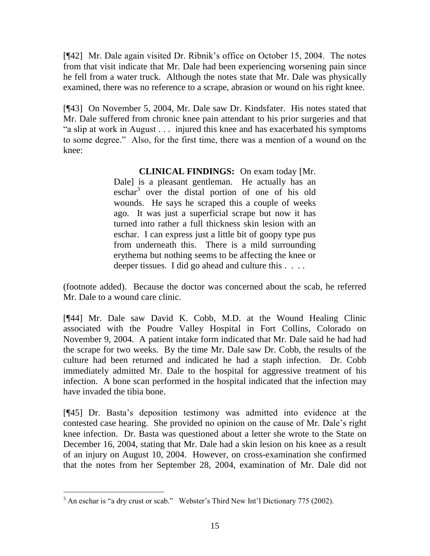[¶42] Mr. Dale again visited Dr. Ribnik"s office on October 15, 2004. The notes from that visit indicate that Mr. Dale had been experiencing worsening pain since he fell from a water truck. Although the notes state that Mr. Dale was physically examined, there was no reference to a scrape, abrasion or wound on his right knee.

[¶43] On November 5, 2004, Mr. Dale saw Dr. Kindsfater. His notes stated that Mr. Dale suffered from chronic knee pain attendant to his prior surgeries and that "a slip at work in August . . . injured this knee and has exacerbated his symptoms to some degree." Also, for the first time, there was a mention of a wound on the knee:

## **CLINICAL FINDINGS:** On exam today [Mr.

Dale) is a pleasant gentleman. He actually has an eschar<sup>3</sup> over the distal portion of one of his old wounds. He says he scraped this a couple of weeks ago. It was just a superficial scrape but now it has turned into rather a full thickness skin lesion with an eschar. I can express just a little bit of goopy type pus from underneath this. There is a mild surrounding erythema but nothing seems to be affecting the knee or deeper tissues. I did go ahead and culture this . . . .

(footnote added). Because the doctor was concerned about the scab, he referred Mr. Dale to a wound care clinic.

[¶44] Mr. Dale saw David K. Cobb, M.D. at the Wound Healing Clinic associated with the Poudre Valley Hospital in Fort Collins, Colorado on November 9, 2004. A patient intake form indicated that Mr. Dale said he had had the scrape for two weeks. By the time Mr. Dale saw Dr. Cobb, the results of the culture had been returned and indicated he had a staph infection. Dr. Cobb immediately admitted Mr. Dale to the hospital for aggressive treatment of his infection. A bone scan performed in the hospital indicated that the infection may have invaded the tibia bone.

[¶45] Dr. Basta"s deposition testimony was admitted into evidence at the contested case hearing. She provided no opinion on the cause of Mr. Dale"s right knee infection. Dr. Basta was questioned about a letter she wrote to the State on December 16, 2004, stating that Mr. Dale had a skin lesion on his knee as a result of an injury on August 10, 2004. However, on cross-examination she confirmed that the notes from her September 28, 2004, examination of Mr. Dale did not

 $\overline{a}$ 

 $3$  An eschar is "a dry crust or scab." Webster's Third New Int'l Dictionary 775 (2002).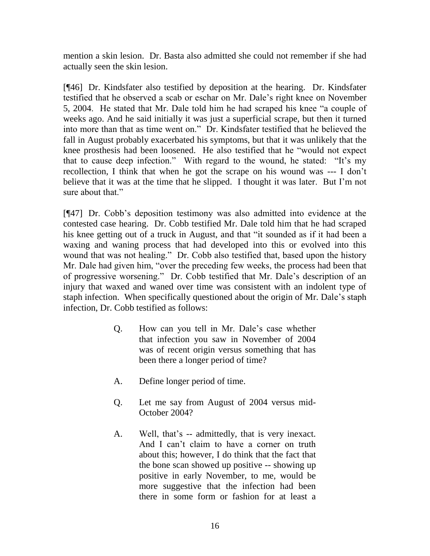mention a skin lesion. Dr. Basta also admitted she could not remember if she had actually seen the skin lesion.

[¶46] Dr. Kindsfater also testified by deposition at the hearing. Dr. Kindsfater testified that he observed a scab or eschar on Mr. Dale"s right knee on November 5, 2004. He stated that Mr. Dale told him he had scraped his knee "a couple of weeks ago. And he said initially it was just a superficial scrape, but then it turned into more than that as time went on." Dr. Kindsfater testified that he believed the fall in August probably exacerbated his symptoms, but that it was unlikely that the knee prosthesis had been loosened. He also testified that he "would not expect that to cause deep infection." With regard to the wound, he stated: "It's my recollection, I think that when he got the scrape on his wound was --- I don"t believe that it was at the time that he slipped. I thought it was later. But I"m not sure about that."

[¶47] Dr. Cobb"s deposition testimony was also admitted into evidence at the contested case hearing. Dr. Cobb testified Mr. Dale told him that he had scraped his knee getting out of a truck in August, and that "it sounded as if it had been a waxing and waning process that had developed into this or evolved into this wound that was not healing." Dr. Cobb also testified that, based upon the history Mr. Dale had given him, "over the preceding few weeks, the process had been that of progressive worsening." Dr. Cobb testified that Mr. Dale"s description of an injury that waxed and waned over time was consistent with an indolent type of staph infection. When specifically questioned about the origin of Mr. Dale"s staph infection, Dr. Cobb testified as follows:

- Q. How can you tell in Mr. Dale"s case whether that infection you saw in November of 2004 was of recent origin versus something that has been there a longer period of time?
- A. Define longer period of time.
- Q. Let me say from August of 2004 versus mid-October 2004?
- A. Well, that's -- admittedly, that is very inexact. And I can't claim to have a corner on truth about this; however, I do think that the fact that the bone scan showed up positive -- showing up positive in early November, to me, would be more suggestive that the infection had been there in some form or fashion for at least a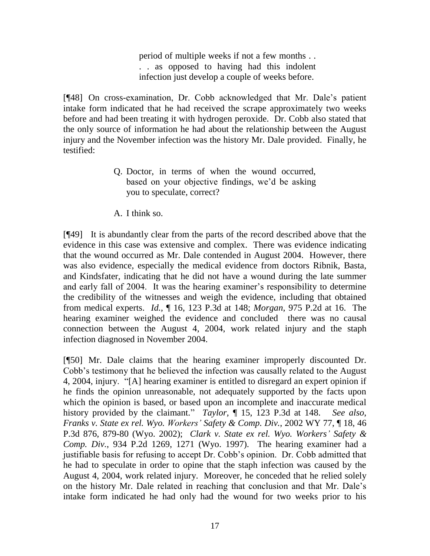period of multiple weeks if not a few months . . . . as opposed to having had this indolent infection just develop a couple of weeks before.

[¶48] On cross-examination, Dr. Cobb acknowledged that Mr. Dale"s patient intake form indicated that he had received the scrape approximately two weeks before and had been treating it with hydrogen peroxide. Dr. Cobb also stated that the only source of information he had about the relationship between the August injury and the November infection was the history Mr. Dale provided. Finally, he testified:

- Q. Doctor, in terms of when the wound occurred, based on your objective findings, we'd be asking you to speculate, correct?
- A. I think so.

[¶49] It is abundantly clear from the parts of the record described above that the evidence in this case was extensive and complex. There was evidence indicating that the wound occurred as Mr. Dale contended in August 2004. However, there was also evidence, especially the medical evidence from doctors Ribnik, Basta, and Kindsfater, indicating that he did not have a wound during the late summer and early fall of 2004. It was the hearing examiner's responsibility to determine the credibility of the witnesses and weigh the evidence, including that obtained from medical experts. *Id.,* ¶ 16, 123 P.3d at 148; *Morgan*, 975 P.2d at 16. The hearing examiner weighed the evidence and concluded there was no causal connection between the August 4, 2004, work related injury and the staph infection diagnosed in November 2004.

[¶50] Mr. Dale claims that the hearing examiner improperly discounted Dr. Cobb"s testimony that he believed the infection was causally related to the August 4, 2004, injury. "[A] hearing examiner is entitled to disregard an expert opinion if he finds the opinion unreasonable, not adequately supported by the facts upon which the opinion is based, or based upon an incomplete and inaccurate medical history provided by the claimant." *Taylor,* ¶ 15, 123 P.3d at 148. *See also*, *Franks v. State ex rel. Wyo. Workers' Safety & Comp. Div.*, 2002 WY 77, ¶ 18, 46 P.3d 876, 879-80 (Wyo. 2002); *Clark v. State ex rel. Wyo. Workers' Safety & Comp. Div.*, 934 P.2d 1269, 1271 (Wyo. 1997). The hearing examiner had a justifiable basis for refusing to accept Dr. Cobb"s opinion. Dr. Cobb admitted that he had to speculate in order to opine that the staph infection was caused by the August 4, 2004, work related injury. Moreover, he conceded that he relied solely on the history Mr. Dale related in reaching that conclusion and that Mr. Dale"s intake form indicated he had only had the wound for two weeks prior to his